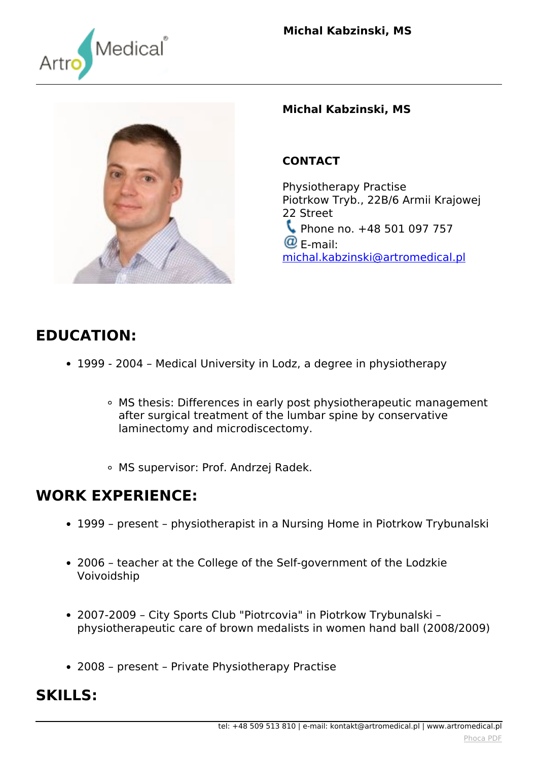



#### **Michal Kabzinski, MS**

### **CONTACT**

*Physiotherapy Practise Piotrkow Tryb., 22B/6 Armii Krajowej 22 Street Phone no. +48 501 097 757 E-mail: [michal.kabzinski@artromedical.pl](mailto:michal.kabzinski@artromedical.pl)*

# **EDUCATION:**

- *1999 2004 Medical University in Lodz, a degree in physiotherapy*
	- *MS thesis: Differences in early post physiotherapeutic management after surgical treatment of the lumbar spine by conservative laminectomy and microdiscectomy.*
	- *MS supervisor: Prof. Andrzej Radek.*

### **WORK EXPERIENCE:**

- *1999 present physiotherapist in a Nursing Home in Piotrkow Trybunalski*
- *2006 teacher at the College of the Self-government of the Lodzkie Voivoidship*
- *2007-2009 City Sports Club "Piotrcovia" in Piotrkow Trybunalski – physiotherapeutic care of brown medalists in women hand ball (2008/2009)*
- *2008 present Private Physiotherapy Practise*

# **SKILLS:**